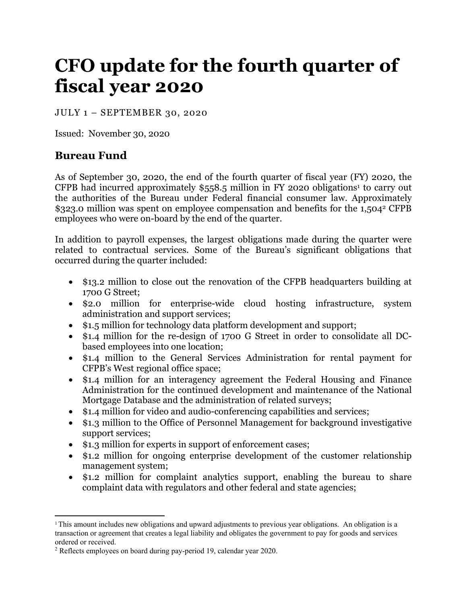# **CFO update for the fourth quarter of fiscal year 2020**

JULY 1 – SEPTEMBER 30, 2020

Issued: November 30, 2020

## **Bureau Fund**

As of September 30, 2020, the end of the fourth quarter of fiscal year (FY) 2020, the CFPB had incurred approximately  $$558.5$  million in FY 2020 obligations<sup>1</sup> to carry out the authorities of the Bureau under Federal financial consumer law. Approximately \$323.0 million was spent on employee compensation and benefits for the 1,5042 CFPB employees who were on-board by the end of the quarter.

In addition to payroll expenses, the largest obligations made during the quarter were related to contractual services. Some of the Bureau's significant obligations that occurred during the quarter included:

- \$13.2 million to close out the renovation of the CFPB headquarters building at 1700 G Street;
- \$2.0 million for enterprise-wide cloud hosting infrastructure, system administration and support services;
- \$1.5 million for technology data platform development and support;
- \$1.4 million for the re-design of 1700 G Street in order to consolidate all DCbased employees into one location;
- \$1.4 million to the General Services Administration for rental payment for CFPB's West regional office space;
- \$1.4 million for an interagency agreement the Federal Housing and Finance Administration for the continued development and maintenance of the National Mortgage Database and the administration of related surveys;
- \$1.4 million for video and audio-conferencing capabilities and services;
- \$1.3 million to the Office of Personnel Management for background investigative support services;
- \$1.3 million for experts in support of enforcement cases;
- \$1.2 million for ongoing enterprise development of the customer relationship management system;
- \$1.2 million for complaint analytics support, enabling the bureau to share complaint data with regulators and other federal and state agencies;

<sup>&</sup>lt;sup>1</sup> This amount includes new obligations and upward adjustments to previous year obligations. An obligation is a transaction or agreement that creates a legal liability and obligates the government to pay for goods and services ordered or received.

<sup>&</sup>lt;sup>2</sup> Reflects employees on board during pay-period 19, calendar year 2020.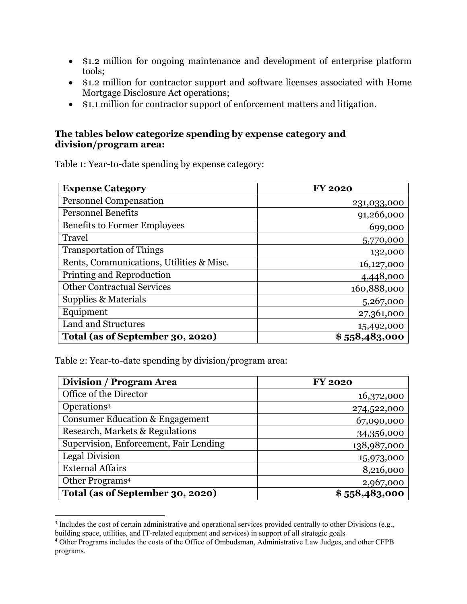- \$1.2 million for ongoing maintenance and development of enterprise platform tools;
- \$1.2 million for contractor support and software licenses associated with Home Mortgage Disclosure Act operations;
- \$1.1 million for contractor support of enforcement matters and litigation.

#### **The tables below categorize spending by expense category and division/program area:**

Table 1: Year-to-date spending by expense category:

| <b>Expense Category</b>                  | <b>FY 2020</b> |
|------------------------------------------|----------------|
| <b>Personnel Compensation</b>            | 231,033,000    |
| <b>Personnel Benefits</b>                | 91,266,000     |
| <b>Benefits to Former Employees</b>      | 699,000        |
| Travel                                   | 5,770,000      |
| <b>Transportation of Things</b>          | 132,000        |
| Rents, Communications, Utilities & Misc. | 16,127,000     |
| Printing and Reproduction                | 4,448,000      |
| <b>Other Contractual Services</b>        | 160,888,000    |
| Supplies & Materials                     | 5,267,000      |
| Equipment                                | 27,361,000     |
| <b>Land and Structures</b>               | 15,492,000     |
| Total (as of September 30, 2020)         | \$558,483,000  |

Table 2: Year-to-date spending by division/program area:

| <b>Division / Program Area</b>             | <b>FY 2020</b> |
|--------------------------------------------|----------------|
| Office of the Director                     | 16,372,000     |
| Operations <sup>3</sup>                    | 274,522,000    |
| <b>Consumer Education &amp; Engagement</b> | 67,090,000     |
| Research, Markets & Regulations            | 34,356,000     |
| Supervision, Enforcement, Fair Lending     | 138,987,000    |
| Legal Division                             | 15,973,000     |
| <b>External Affairs</b>                    | 8,216,000      |
| Other Programs <sup>4</sup>                | 2,967,000      |
| Total (as of September 30, 2020)           | \$558,483,000  |

<sup>&</sup>lt;sup>3</sup> Includes the cost of certain administrative and operational services provided centrally to other Divisions (e.g., building space, utilities, and IT-related equipment and services) in support of all strategic goals 4

Other Programs includes the costs of the Office of Ombudsman, Administrative Law Judges, and other CFPB programs.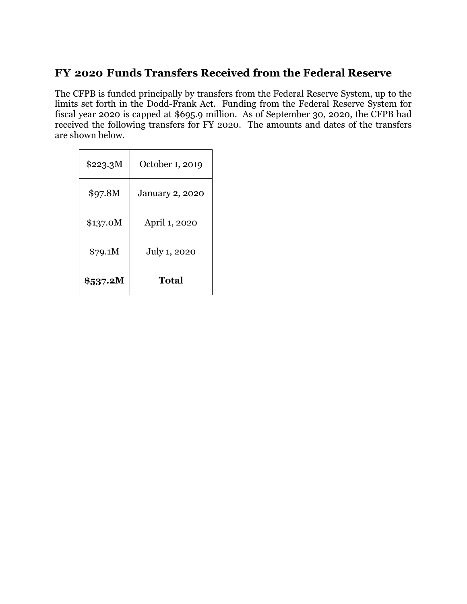# **FY 2020 Funds Transfers Received from the Federal Reserve**

The CFPB is funded principally by transfers from the Federal Reserve System, up to the limits set forth in the Dodd-Frank Act. Funding from the Federal Reserve System for fiscal year 2020 is capped at \$695.9 million. As of September 30, 2020, the CFPB had received the following transfers for FY 2020. The amounts and dates of the transfers are shown below.

| \$223.3M | October 1, 2019        |  |
|----------|------------------------|--|
| \$97.8M  | <b>January 2, 2020</b> |  |
| \$137.0M | April 1, 2020          |  |
| \$79.1M  | July 1, 2020           |  |
| \$537.2M | <b>Total</b>           |  |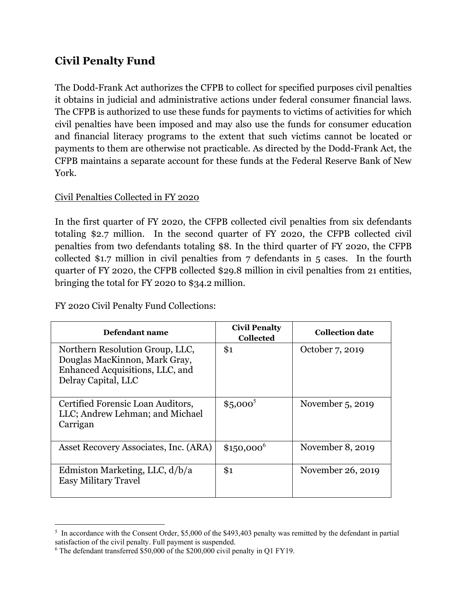# **Civil Penalty Fund**

The Dodd-Frank Act authorizes the CFPB to collect for specified purposes civil penalties it obtains in judicial and administrative actions under federal consumer financial laws. The CFPB is authorized to use these funds for payments to victims of activities for which civil penalties have been imposed and may also use the funds for consumer education and financial literacy programs to the extent that such victims cannot be located or payments to them are otherwise not practicable. As directed by the Dodd-Frank Act, the CFPB maintains a separate account for these funds at the Federal Reserve Bank of New York.

## Civil Penalties Collected in FY 2020

In the first quarter of FY 2020, the CFPB collected civil penalties from six defendants totaling \$2.7 million. In the second quarter of FY 2020, the CFPB collected civil penalties from two defendants totaling \$8. In the third quarter of FY 2020, the CFPB collected \$1.7 million in civil penalties from 7 defendants in 5 cases. In the fourth quarter of FY 2020, the CFPB collected \$29.8 million in civil penalties from 21 entities, bringing the total for FY 2020 to \$34.2 million.

FY 2020 Civil Penalty Fund Collections:

| Defendant name                                                                                                             | <b>Civil Penalty</b><br><b>Collected</b> | <b>Collection date</b> |
|----------------------------------------------------------------------------------------------------------------------------|------------------------------------------|------------------------|
| Northern Resolution Group, LLC,<br>Douglas MacKinnon, Mark Gray,<br>Enhanced Acquisitions, LLC, and<br>Delray Capital, LLC | \$1                                      | October 7, 2019        |
| Certified Forensic Loan Auditors,<br>LLC; Andrew Lehman; and Michael<br>Carrigan                                           | $$5,000^5$                               | November 5, 2019       |
| Asset Recovery Associates, Inc. (ARA)                                                                                      | $$150,000^6$                             | November 8, 2019       |
| Edmiston Marketing, LLC, $d/b/a$<br><b>Easy Military Travel</b>                                                            | \$1                                      | November 26, 2019      |

In accordance with the Consent Order, \$5,000 of the \$493,403 penalty was remitted by the defendant in partial satisfaction of the civil penalty. Full payment is suspended.

<sup>6</sup> The defendant transferred \$50,000 of the \$200,000 civil penalty in Q1 FY19.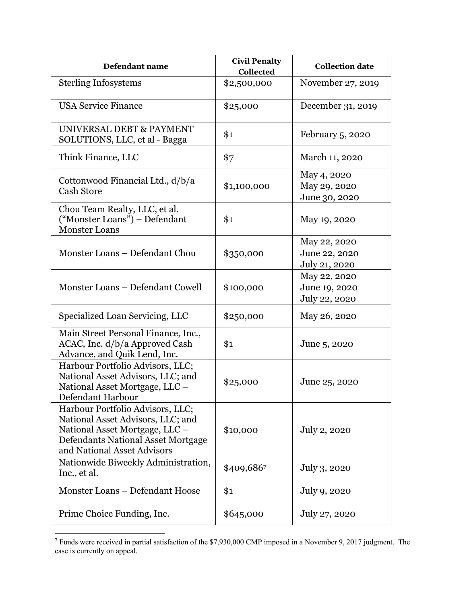| Defendant name                                                                                                                                                               | <b>Civil Penalty</b><br><b>Collected</b> | <b>Collection date</b>                         |
|------------------------------------------------------------------------------------------------------------------------------------------------------------------------------|------------------------------------------|------------------------------------------------|
| <b>Sterling Infosystems</b>                                                                                                                                                  | \$2,500,000                              | November 27, 2019                              |
| <b>USA Service Finance</b>                                                                                                                                                   | \$25,000                                 | December 31, 2019                              |
| UNIVERSAL DEBT & PAYMENT<br>SOLUTIONS, LLC, et al - Bagga                                                                                                                    | \$1                                      | February 5, 2020                               |
| Think Finance, LLC                                                                                                                                                           | \$7                                      | March 11, 2020                                 |
| Cottonwood Financial Ltd., d/b/a<br><b>Cash Store</b>                                                                                                                        | \$1,100,000                              | May 4, 2020<br>May 29, 2020<br>June 30, 2020   |
| Chou Team Realty, LLC, et al.<br>("Monster Loans") - Defendant<br><b>Monster Loans</b>                                                                                       | \$1                                      | May 19, 2020                                   |
| Monster Loans - Defendant Chou                                                                                                                                               | \$350,000                                | May 22, 2020<br>June 22, 2020<br>July 21, 2020 |
| Monster Loans - Defendant Cowell                                                                                                                                             | \$100,000                                | May 22, 2020<br>June 19, 2020<br>July 22, 2020 |
| Specialized Loan Servicing, LLC                                                                                                                                              | \$250,000                                | May 26, 2020                                   |
| Main Street Personal Finance, Inc.,<br>ACAC, Inc. d/b/a Approved Cash<br>Advance, and Quik Lend, Inc.                                                                        | \$1                                      | June 5, 2020                                   |
| Harbour Portfolio Advisors, LLC;<br>National Asset Advisors, LLC; and<br>National Asset Mortgage, LLC -<br>Defendant Harbour                                                 | \$25,000                                 | June 25, 2020                                  |
| Harbour Portfolio Advisors, LLC;<br>National Asset Advisors, LLC; and<br>National Asset Mortgage, LLC -<br>Defendants National Asset Mortgage<br>and National Asset Advisors | \$10,000                                 | July 2, 2020                                   |
| Nationwide Biweekly Administration,<br>Inc., et al.                                                                                                                          | \$409,6867                               | July 3, 2020                                   |
| Monster Loans - Defendant Hoose                                                                                                                                              | \$1                                      | July 9, 2020                                   |
| Prime Choice Funding, Inc.                                                                                                                                                   | \$645,000                                | July 27, 2020                                  |

<sup>7</sup> Funds were received in partial satisfaction of the \$7,930,000 CMP imposed in a November 9, 2017 judgment. The case is currently on appeal.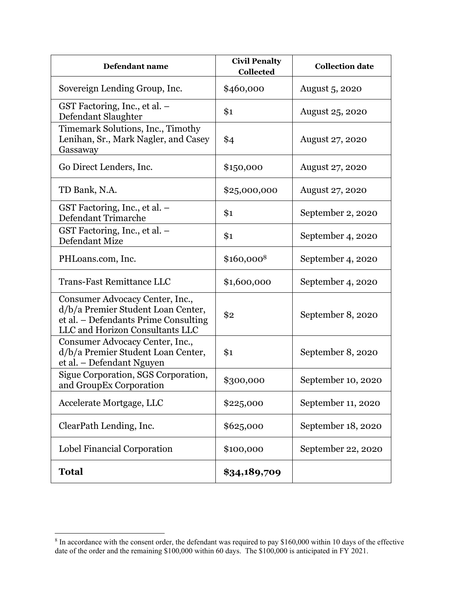| Defendant name                                                                                                                                   | <b>Civil Penalty</b><br>Collected | <b>Collection date</b> |
|--------------------------------------------------------------------------------------------------------------------------------------------------|-----------------------------------|------------------------|
| Sovereign Lending Group, Inc.                                                                                                                    | \$460,000                         | August 5, 2020         |
| GST Factoring, Inc., et al. -<br>Defendant Slaughter                                                                                             | \$1                               | August 25, 2020        |
| Timemark Solutions, Inc., Timothy<br>Lenihan, Sr., Mark Nagler, and Casey<br>Gassaway                                                            | \$4                               | <b>August 27, 2020</b> |
| Go Direct Lenders, Inc.                                                                                                                          | \$150,000                         | August 27, 2020        |
| TD Bank, N.A.                                                                                                                                    | \$25,000,000                      | August 27, 2020        |
| GST Factoring, Inc., et al. -<br>Defendant Trimarche                                                                                             | \$1                               | September 2, 2020      |
| GST Factoring, Inc., et al. -<br>Defendant Mize                                                                                                  | \$1                               | September 4, 2020      |
| PHLoans.com, Inc.                                                                                                                                | \$160,0008                        | September 4, 2020      |
| <b>Trans-Fast Remittance LLC</b>                                                                                                                 | \$1,600,000                       | September 4, 2020      |
| Consumer Advocacy Center, Inc.,<br>d/b/a Premier Student Loan Center,<br>et al. – Defendants Prime Consulting<br>LLC and Horizon Consultants LLC | \$2                               | September 8, 2020      |
| Consumer Advocacy Center, Inc.,<br>d/b/a Premier Student Loan Center,<br>et al. - Defendant Nguyen                                               | \$1                               | September 8, 2020      |
| Sigue Corporation, SGS Corporation,<br>and GroupEx Corporation                                                                                   | \$300,000                         | September 10, 2020     |
| Accelerate Mortgage, LLC                                                                                                                         | \$225,000                         | September 11, 2020     |
| ClearPath Lending, Inc.                                                                                                                          | \$625,000                         | September 18, 2020     |
| Lobel Financial Corporation                                                                                                                      | \$100,000                         | September 22, 2020     |
| <b>Total</b>                                                                                                                                     | \$34,189,709                      |                        |

<sup>&</sup>lt;sup>8</sup> In accordance with the consent order, the defendant was required to pay \$160,000 within 10 days of the effective date of the order and the remaining \$100,000 within 60 days. The \$100,000 is anticipated in FY 2021.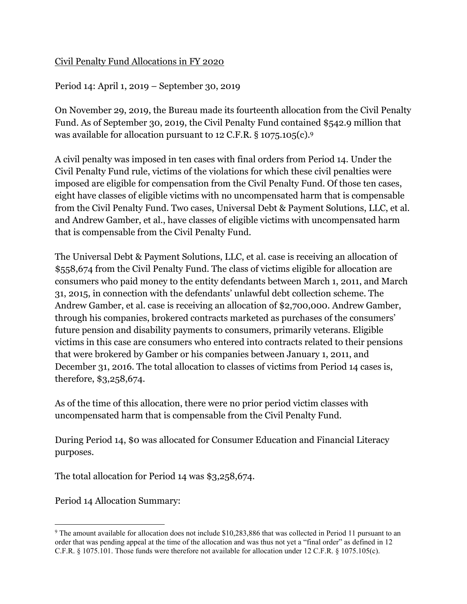## Civil Penalty Fund Allocations in FY 2020

Period 14: April 1, 2019 – September 30, 2019

On November 29, 2019, the Bureau made its fourteenth allocation from the Civil Penalty Fund. As of September 30, 2019, the Civil Penalty Fund contained \$542.9 million that was available for allocation pursuant to 12 C.F.R. § 1075.105(c).9

A civil penalty was imposed in ten cases with final orders from Period 14. Under the Civil Penalty Fund rule, victims of the violations for which these civil penalties were imposed are eligible for compensation from the Civil Penalty Fund. Of those ten cases, eight have classes of eligible victims with no uncompensated harm that is compensable from the Civil Penalty Fund. Two cases, Universal Debt & Payment Solutions, LLC, et al. and Andrew Gamber, et al., have classes of eligible victims with uncompensated harm that is compensable from the Civil Penalty Fund.

The Universal Debt & Payment Solutions, LLC, et al. case is receiving an allocation of \$558,674 from the Civil Penalty Fund. The class of victims eligible for allocation are consumers who paid money to the entity defendants between March 1, 2011, and March 31, 2015, in connection with the defendants' unlawful debt collection scheme. The Andrew Gamber, et al. case is receiving an allocation of \$2,700,000. Andrew Gamber, through his companies, brokered contracts marketed as purchases of the consumers' future pension and disability payments to consumers, primarily veterans. Eligible victims in this case are consumers who entered into contracts related to their pensions that were brokered by Gamber or his companies between January 1, 2011, and December 31, 2016. The total allocation to classes of victims from Period 14 cases is, therefore, \$3,258,674.

As of the time of this allocation, there were no prior period victim classes with uncompensated harm that is compensable from the Civil Penalty Fund.

During Period 14, \$0 was allocated for Consumer Education and Financial Literacy purposes.

The total allocation for Period 14 was \$3,258,674.

Period 14 Allocation Summary:

<sup>&</sup>lt;sup>9</sup> The amount available for allocation does not include \$10,283,886 that was collected in Period 11 pursuant to an order that was pending appeal at the time of the allocation and was thus not yet a "final order" as defined in 12 C.F.R. § 1075.101. Those funds were therefore not available for allocation under 12 C.F.R. § 1075.105(c).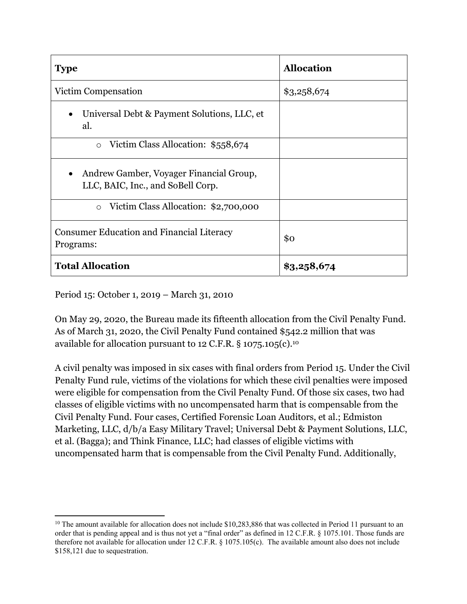| <b>Type</b>                                                                  | <b>Allocation</b> |
|------------------------------------------------------------------------------|-------------------|
| Victim Compensation                                                          | \$3,258,674       |
| Universal Debt & Payment Solutions, LLC, et<br>al.                           |                   |
| Victim Class Allocation: \$558,674<br>$\circ$                                |                   |
| Andrew Gamber, Voyager Financial Group,<br>LLC, BAIC, Inc., and SoBell Corp. |                   |
| Victim Class Allocation: \$2,700,000<br>$\circ$                              |                   |
| <b>Consumer Education and Financial Literacy</b><br>Programs:                | \$0               |
| <b>Total Allocation</b>                                                      | \$3,258,674       |

Period 15: October 1, 2019 – March 31, 2010

On May 29, 2020, the Bureau made its fifteenth allocation from the Civil Penalty Fund. As of March 31, 2020, the Civil Penalty Fund contained \$542.2 million that was available for allocation pursuant to 12 C.F.R.  $\S$  1075.105(c).<sup>10</sup>

A civil penalty was imposed in six cases with final orders from Period 15. Under the Civil Penalty Fund rule, victims of the violations for which these civil penalties were imposed were eligible for compensation from the Civil Penalty Fund. Of those six cases, two had classes of eligible victims with no uncompensated harm that is compensable from the Civil Penalty Fund. Four cases, Certified Forensic Loan Auditors, et al.; Edmiston Marketing, LLC, d/b/a Easy Military Travel; Universal Debt & Payment Solutions, LLC, et al. (Bagga); and Think Finance, LLC; had classes of eligible victims with uncompensated harm that is compensable from the Civil Penalty Fund. Additionally,

<sup>&</sup>lt;sup>10</sup> The amount available for allocation does not include \$10,283,886 that was collected in Period 11 pursuant to an order that is pending appeal and is thus not yet a "final order" as defined in 12 C.F.R. § 1075.101. Those funds are therefore not available for allocation under 12 C.F.R. § 1075.105(c). The available amount also does not include \$158,121 due to sequestration.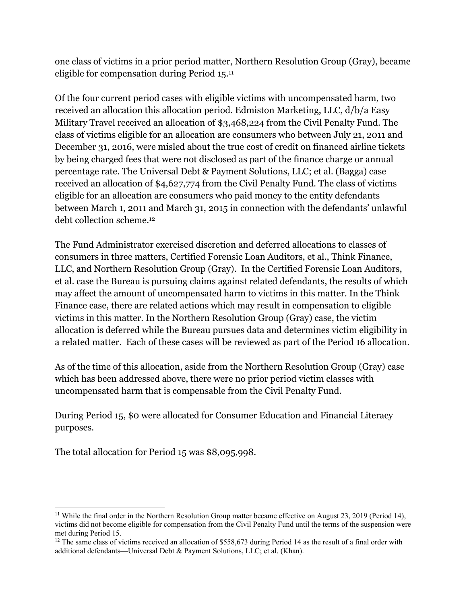one class of victims in a prior period matter, Northern Resolution Group (Gray), became eligible for compensation during Period 15.11

Of the four current period cases with eligible victims with uncompensated harm, two received an allocation this allocation period. Edmiston Marketing, LLC, d/b/a Easy Military Travel received an allocation of \$3,468,224 from the Civil Penalty Fund. The class of victims eligible for an allocation are consumers who between July 21, 2011 and December 31, 2016, were misled about the true cost of credit on financed airline tickets by being charged fees that were not disclosed as part of the finance charge or annual percentage rate. The Universal Debt & Payment Solutions, LLC; et al. (Bagga) case received an allocation of \$4,627,774 from the Civil Penalty Fund. The class of victims eligible for an allocation are consumers who paid money to the entity defendants between March 1, 2011 and March 31, 2015 in connection with the defendants' unlawful debt collection scheme.12

The Fund Administrator exercised discretion and deferred allocations to classes of consumers in three matters, Certified Forensic Loan Auditors, et al., Think Finance, LLC, and Northern Resolution Group (Gray). In the Certified Forensic Loan Auditors, et al. case the Bureau is pursuing claims against related defendants, the results of which may affect the amount of uncompensated harm to victims in this matter. In the Think Finance case, there are related actions which may result in compensation to eligible victims in this matter. In the Northern Resolution Group (Gray) case, the victim allocation is deferred while the Bureau pursues data and determines victim eligibility in a related matter. Each of these cases will be reviewed as part of the Period 16 allocation.

As of the time of this allocation, aside from the Northern Resolution Group (Gray) case which has been addressed above, there were no prior period victim classes with uncompensated harm that is compensable from the Civil Penalty Fund.

During Period 15, \$0 were allocated for Consumer Education and Financial Literacy purposes.

The total allocation for Period 15 was \$8,095,998.

<sup>&</sup>lt;sup>11</sup> While the final order in the Northern Resolution Group matter became effective on August 23, 2019 (Period 14), victims did not become eligible for compensation from the Civil Penalty Fund until the terms of the suspension were met during Period 15.

 $12$  The same class of victims received an allocation of \$558,673 during Period 14 as the result of a final order with additional defendants—Universal Debt & Payment Solutions, LLC; et al. (Khan).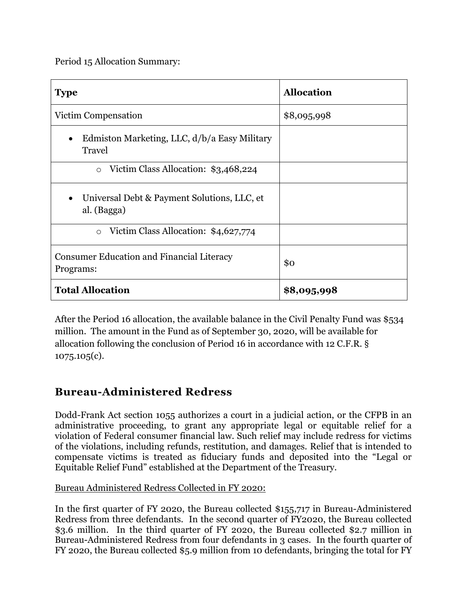Period 15 Allocation Summary:

| <b>Type</b>                                                   | <b>Allocation</b> |
|---------------------------------------------------------------|-------------------|
| Victim Compensation                                           | \$8,095,998       |
| Edmiston Marketing, LLC, d/b/a Easy Military<br>Travel        |                   |
| Victim Class Allocation: \$3,468,224<br>$\circ$               |                   |
| Universal Debt & Payment Solutions, LLC, et<br>al. (Bagga)    |                   |
| Victim Class Allocation: \$4,627,774<br>$\circ$               |                   |
| <b>Consumer Education and Financial Literacy</b><br>Programs: | \$0               |
| <b>Total Allocation</b>                                       | \$8,095,998       |

After the Period 16 allocation, the available balance in the Civil Penalty Fund was \$534 million. The amount in the Fund as of September 30, 2020, will be available for allocation following the conclusion of Period 16 in accordance with 12 C.F.R. § 1075.105(c).

# **Bureau-Administered Redress**

Dodd-Frank Act section 1055 authorizes a court in a judicial action, or the CFPB in an administrative proceeding, to grant any appropriate legal or equitable relief for a violation of Federal consumer financial law. Such relief may include redress for victims of the violations, including refunds, restitution, and damages. Relief that is intended to compensate victims is treated as fiduciary funds and deposited into the "Legal or Equitable Relief Fund" established at the Department of the Treasury.

### Bureau Administered Redress Collected in FY 2020:

In the first quarter of FY 2020, the Bureau collected \$155,717 in Bureau-Administered Redress from three defendants. In the second quarter of FY2020, the Bureau collected \$3.6 million. In the third quarter of FY 2020, the Bureau collected \$2.7 million in Bureau-Administered Redress from four defendants in 3 cases. In the fourth quarter of FY 2020, the Bureau collected \$5.9 million from 10 defendants, bringing the total for FY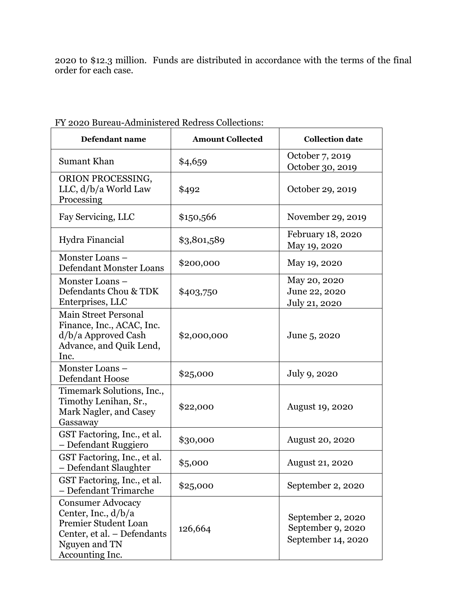2020 to \$12.3 million. Funds are distributed in accordance with the terms of the final order for each case.

| Defendant name                                                                                                                               | <b>Amount Collected</b> | <b>Collection date</b>                                       |
|----------------------------------------------------------------------------------------------------------------------------------------------|-------------------------|--------------------------------------------------------------|
| Sumant Khan                                                                                                                                  | \$4,659                 | October 7, 2019<br>October 30, 2019                          |
| ORION PROCESSING,<br>LLC, d/b/a World Law<br>Processing                                                                                      | \$492                   | October 29, 2019                                             |
| Fay Servicing, LLC                                                                                                                           | \$150,566               | November 29, 2019                                            |
| Hydra Financial                                                                                                                              | \$3,801,589             | February 18, 2020<br>May 19, 2020                            |
| Monster Loans-<br>Defendant Monster Loans                                                                                                    | \$200,000               | May 19, 2020                                                 |
| Monster Loans-<br>Defendants Chou & TDK<br>Enterprises, LLC                                                                                  | \$403,750               | May 20, 2020<br>June 22, 2020<br>July 21, 2020               |
| <b>Main Street Personal</b><br>Finance, Inc., ACAC, Inc.<br>$d/b/a$ Approved Cash<br>Advance, and Quik Lend,<br>Inc.                         | \$2,000,000             | June 5, 2020                                                 |
| Monster Loans-<br>Defendant Hoose                                                                                                            | \$25,000                | July 9, 2020                                                 |
| Timemark Solutions, Inc.,<br>Timothy Lenihan, Sr.,<br>Mark Nagler, and Casey<br>Gassaway                                                     | \$22,000                | <b>August 19, 2020</b>                                       |
| GST Factoring, Inc., et al.<br>- Defendant Ruggiero                                                                                          | \$30,000                | <b>August 20, 2020</b>                                       |
| GST Factoring, Inc., et al.<br>Defendant Slaughter                                                                                           | \$5,000                 | August 21, 2020                                              |
| GST Factoring, Inc., et al.<br>- Defendant Trimarche                                                                                         | \$25,000                | September 2, 2020                                            |
| <b>Consumer Advocacy</b><br>Center, Inc., $d/b/a$<br>Premier Student Loan<br>Center, et al. - Defendants<br>Nguyen and TN<br>Accounting Inc. | 126,664                 | September 2, 2020<br>September 9, 2020<br>September 14, 2020 |

FY 2020 Bureau-Administered Redress Collections: